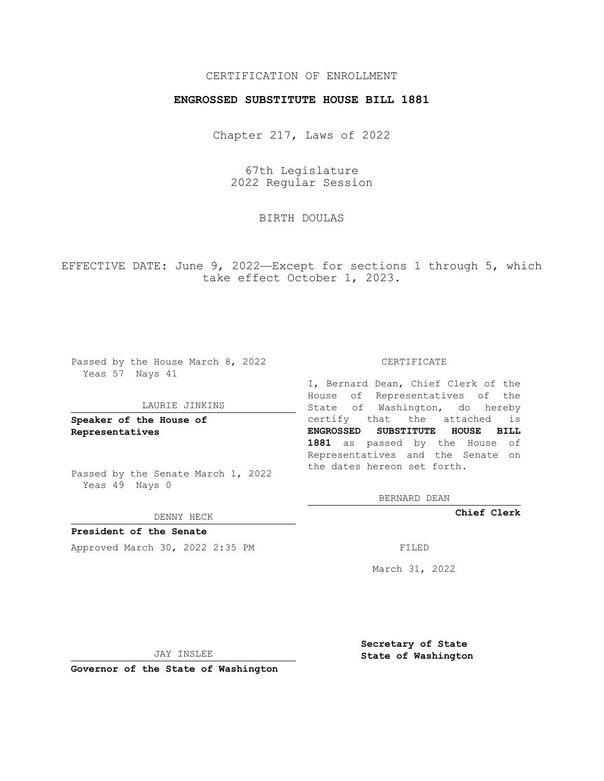## CERTIFICATION OF ENROLLMENT

## **ENGROSSED SUBSTITUTE HOUSE BILL 1881**

Chapter 217, Laws of 2022

67th Legislature 2022 Regular Session

BIRTH DOULAS

EFFECTIVE DATE: June 9, 2022—Except for sections 1 through 5, which take effect October 1, 2023.

Passed by the House March 8, 2022 Yeas 57 Nays 41

#### LAURIE JINKINS

**Speaker of the House of Representatives**

Passed by the Senate March 1, 2022 Yeas 49 Nays 0

DENNY HECK

**President of the Senate** Approved March 30, 2022 2:35 PM

CERTIFICATE

I, Bernard Dean, Chief Clerk of the House of Representatives of the State of Washington, do hereby certify that the attached is **ENGROSSED SUBSTITUTE HOUSE BILL 1881** as passed by the House of Representatives and the Senate on the dates hereon set forth.

BERNARD DEAN

**Chief Clerk**

March 31, 2022

JAY INSLEE

**Governor of the State of Washington**

**Secretary of State State of Washington**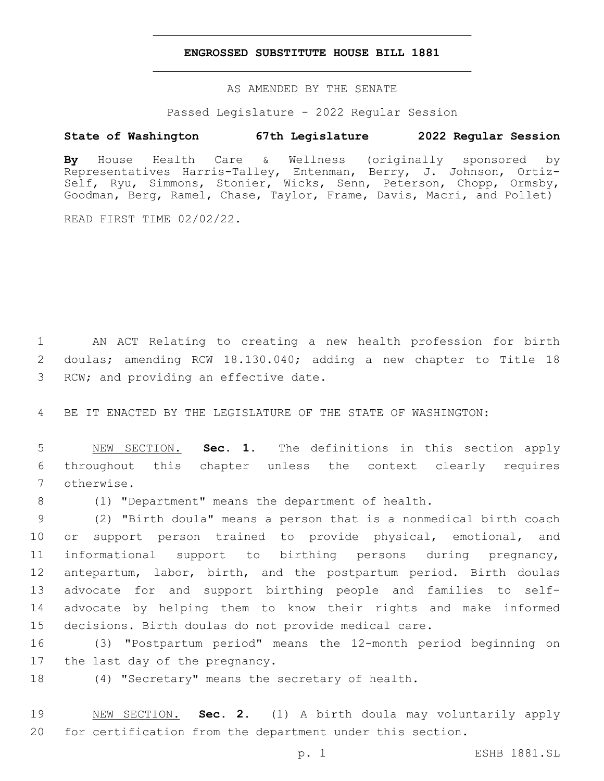### **ENGROSSED SUBSTITUTE HOUSE BILL 1881**

AS AMENDED BY THE SENATE

Passed Legislature - 2022 Regular Session

# **State of Washington 67th Legislature 2022 Regular Session**

**By** House Health Care & Wellness (originally sponsored by Representatives Harris-Talley, Entenman, Berry, J. Johnson, Ortiz-Self, Ryu, Simmons, Stonier, Wicks, Senn, Peterson, Chopp, Ormsby, Goodman, Berg, Ramel, Chase, Taylor, Frame, Davis, Macri, and Pollet)

READ FIRST TIME 02/02/22.

1 AN ACT Relating to creating a new health profession for birth 2 doulas; amending RCW 18.130.040; adding a new chapter to Title 18 3 RCW; and providing an effective date.

4 BE IT ENACTED BY THE LEGISLATURE OF THE STATE OF WASHINGTON:

5 NEW SECTION. **Sec. 1.** The definitions in this section apply 6 throughout this chapter unless the context clearly requires 7 otherwise.

8 (1) "Department" means the department of health.

 (2) "Birth doula" means a person that is a nonmedical birth coach or support person trained to provide physical, emotional, and informational support to birthing persons during pregnancy, antepartum, labor, birth, and the postpartum period. Birth doulas advocate for and support birthing people and families to self- advocate by helping them to know their rights and make informed decisions. Birth doulas do not provide medical care.

16 (3) "Postpartum period" means the 12-month period beginning on 17 the last day of the pregnancy.

18 (4) "Secretary" means the secretary of health.

19 NEW SECTION. **Sec. 2.** (1) A birth doula may voluntarily apply 20 for certification from the department under this section.

p. 1 ESHB 1881.SL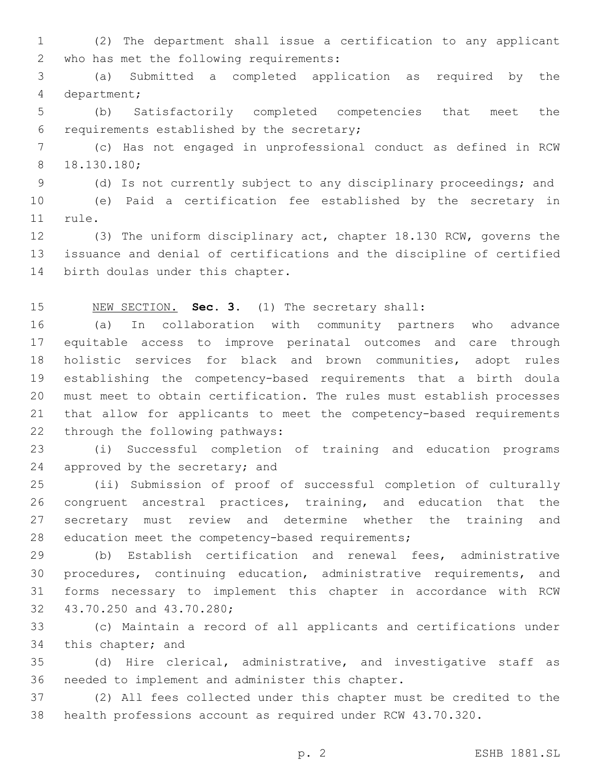(2) The department shall issue a certification to any applicant 2 who has met the following requirements:

 (a) Submitted a completed application as required by the 4 department;

 (b) Satisfactorily completed competencies that meet the 6 requirements established by the secretary;

 (c) Has not engaged in unprofessional conduct as defined in RCW 18.130.180;8

(d) Is not currently subject to any disciplinary proceedings; and

 (e) Paid a certification fee established by the secretary in 11 rule.

 (3) The uniform disciplinary act, chapter 18.130 RCW, governs the issuance and denial of certifications and the discipline of certified 14 birth doulas under this chapter.

NEW SECTION. **Sec. 3.** (1) The secretary shall:

 (a) In collaboration with community partners who advance equitable access to improve perinatal outcomes and care through holistic services for black and brown communities, adopt rules establishing the competency-based requirements that a birth doula must meet to obtain certification. The rules must establish processes that allow for applicants to meet the competency-based requirements 22 through the following pathways:

 (i) Successful completion of training and education programs 24 approved by the secretary; and

 (ii) Submission of proof of successful completion of culturally congruent ancestral practices, training, and education that the secretary must review and determine whether the training and 28 education meet the competency-based requirements;

 (b) Establish certification and renewal fees, administrative procedures, continuing education, administrative requirements, and forms necessary to implement this chapter in accordance with RCW 32 43.70.250 and 43.70.280;

 (c) Maintain a record of all applicants and certifications under 34 this chapter; and

 (d) Hire clerical, administrative, and investigative staff as 36 needed to implement and administer this chapter.

 (2) All fees collected under this chapter must be credited to the health professions account as required under RCW 43.70.320.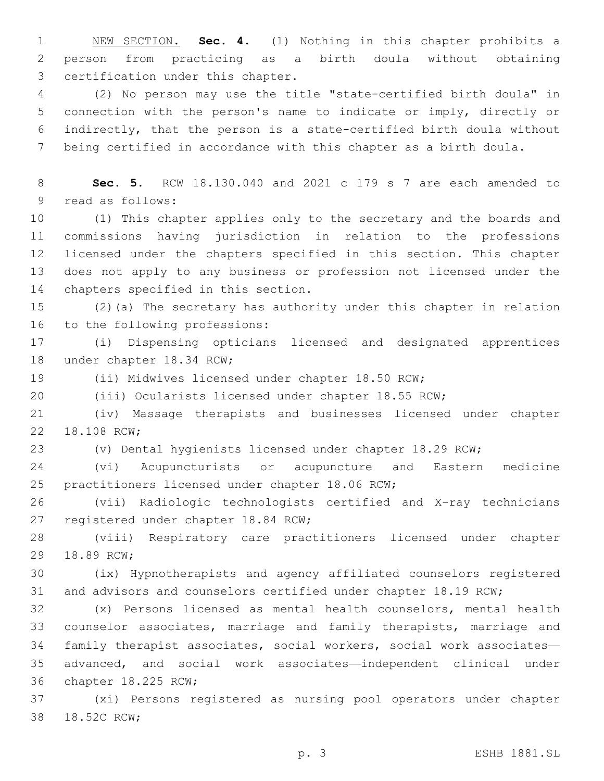NEW SECTION. **Sec. 4.** (1) Nothing in this chapter prohibits a person from practicing as a birth doula without obtaining certification under this chapter.

 (2) No person may use the title "state-certified birth doula" in connection with the person's name to indicate or imply, directly or indirectly, that the person is a state-certified birth doula without being certified in accordance with this chapter as a birth doula.

 **Sec. 5.** RCW 18.130.040 and 2021 c 179 s 7 are each amended to 9 read as follows:

 (1) This chapter applies only to the secretary and the boards and commissions having jurisdiction in relation to the professions licensed under the chapters specified in this section. This chapter does not apply to any business or profession not licensed under the 14 chapters specified in this section.

 (2)(a) The secretary has authority under this chapter in relation 16 to the following professions:

 (i) Dispensing opticians licensed and designated apprentices 18 under chapter 18.34 RCW;

(ii) Midwives licensed under chapter 18.50 RCW;

(iii) Ocularists licensed under chapter 18.55 RCW;

 (iv) Massage therapists and businesses licensed under chapter 22 18.108 RCW;

(v) Dental hygienists licensed under chapter 18.29 RCW;

 (vi) Acupuncturists or acupuncture and Eastern medicine 25 practitioners licensed under chapter 18.06 RCW;

 (vii) Radiologic technologists certified and X-ray technicians 27 registered under chapter 18.84 RCW;

 (viii) Respiratory care practitioners licensed under chapter 29 18.89 RCW;

 (ix) Hypnotherapists and agency affiliated counselors registered and advisors and counselors certified under chapter 18.19 RCW;

 (x) Persons licensed as mental health counselors, mental health counselor associates, marriage and family therapists, marriage and family therapist associates, social workers, social work associates— advanced, and social work associates—independent clinical under 36 chapter 18.225 RCW;

 (xi) Persons registered as nursing pool operators under chapter 38 18.52C RCW;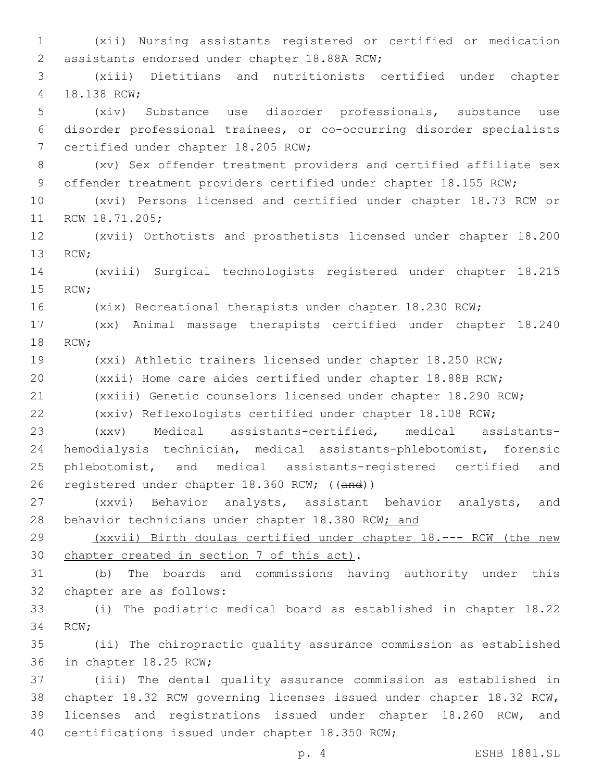(xii) Nursing assistants registered or certified or medication 2 assistants endorsed under chapter 18.88A RCW; (xiii) Dietitians and nutritionists certified under chapter 4 18.138 RCW; (xiv) Substance use disorder professionals, substance use disorder professional trainees, or co-occurring disorder specialists 7 certified under chapter 18.205 RCW; (xv) Sex offender treatment providers and certified affiliate sex 9 offender treatment providers certified under chapter 18.155 RCW; (xvi) Persons licensed and certified under chapter 18.73 RCW or 11 RCW 18.71.205; (xvii) Orthotists and prosthetists licensed under chapter 18.200 13 RCW; (xviii) Surgical technologists registered under chapter 18.215 15 RCW; (xix) Recreational therapists under chapter 18.230 RCW; (xx) Animal massage therapists certified under chapter 18.240 18 RCW; (xxi) Athletic trainers licensed under chapter 18.250 RCW; (xxii) Home care aides certified under chapter 18.88B RCW; (xxiii) Genetic counselors licensed under chapter 18.290 RCW; (xxiv) Reflexologists certified under chapter 18.108 RCW; (xxv) Medical assistants-certified, medical assistants- hemodialysis technician, medical assistants-phlebotomist, forensic phlebotomist, and medical assistants-registered certified and registered under chapter 18.360 RCW; ((and)) (xxvi) Behavior analysts, assistant behavior analysts, and 28 behavior technicians under chapter 18.380 RCW; and (xxvii) Birth doulas certified under chapter 18.--- RCW (the new 30 chapter created in section 7 of this act). (b) The boards and commissions having authority under this 32 chapter are as follows: (i) The podiatric medical board as established in chapter 18.22 34 RCW; (ii) The chiropractic quality assurance commission as established 36 in chapter 18.25 RCW; (iii) The dental quality assurance commission as established in chapter 18.32 RCW governing licenses issued under chapter 18.32 RCW, licenses and registrations issued under chapter 18.260 RCW, and 40 certifications issued under chapter 18.350 RCW;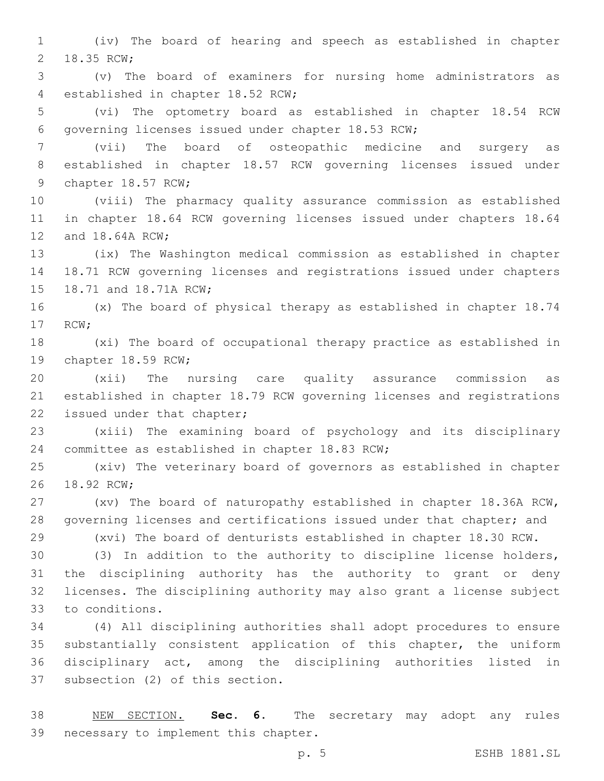(iv) The board of hearing and speech as established in chapter 2 18.35 RCW;

 (v) The board of examiners for nursing home administrators as 4 established in chapter 18.52 RCW;

 (vi) The optometry board as established in chapter 18.54 RCW 6 governing licenses issued under chapter 18.53 RCW;

 (vii) The board of osteopathic medicine and surgery as established in chapter 18.57 RCW governing licenses issued under 9 chapter 18.57 RCW;

 (viii) The pharmacy quality assurance commission as established in chapter 18.64 RCW governing licenses issued under chapters 18.64 12 and 18.64A RCW;

 (ix) The Washington medical commission as established in chapter 18.71 RCW governing licenses and registrations issued under chapters 15 18.71 and 18.71A RCW;

 (x) The board of physical therapy as established in chapter 18.74 17 RCW;

 (xi) The board of occupational therapy practice as established in 19 chapter 18.59 RCW;

 (xii) The nursing care quality assurance commission as established in chapter 18.79 RCW governing licenses and registrations 22 issued under that chapter;

 (xiii) The examining board of psychology and its disciplinary 24 committee as established in chapter 18.83 RCW;

 (xiv) The veterinary board of governors as established in chapter 26 18.92 RCW:

 (xv) The board of naturopathy established in chapter 18.36A RCW, governing licenses and certifications issued under that chapter; and

 (xvi) The board of denturists established in chapter 18.30 RCW. (3) In addition to the authority to discipline license holders,

 the disciplining authority has the authority to grant or deny licenses. The disciplining authority may also grant a license subject 33 to conditions.

 (4) All disciplining authorities shall adopt procedures to ensure substantially consistent application of this chapter, the uniform disciplinary act, among the disciplining authorities listed in 37 subsection (2) of this section.

 NEW SECTION. **Sec. 6.** The secretary may adopt any rules necessary to implement this chapter.